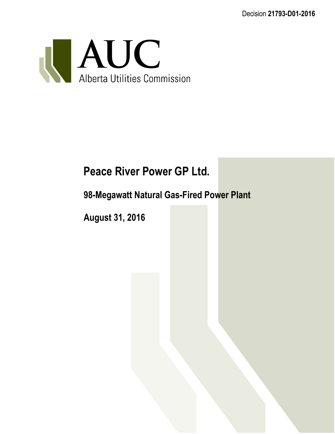Decision **21793-D01-2016**



# **Peace River Power GP Ltd.**

## **98-Megawatt Natural Gas-Fired Power Plant**

**August 31, 2016**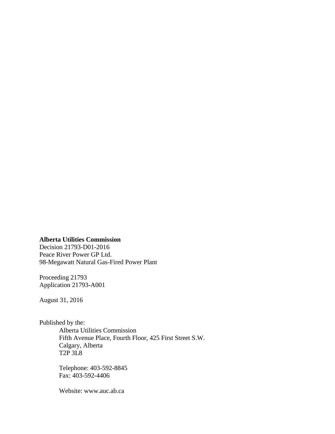#### **Alberta Utilities Commission**

Decision 21793-D01-2016 Peace River Power GP Ltd. 98-Megawatt Natural Gas-Fired Power Plant

Proceeding 21793 Application 21793-A001

August 31, 2016

Published by the: Alberta Utilities Commission Fifth Avenue Place, Fourth Floor, 425 First Street S.W. Calgary, Alberta T2P 3L8

> Telephone: 403-592-8845 Fax: 403-592-4406

Website: www.auc.ab.ca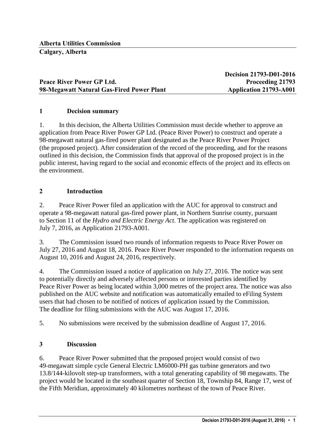|                                           | <b>Decision 21793-D01-2016</b> |
|-------------------------------------------|--------------------------------|
| Peace River Power GP Ltd.                 | Proceeding 21793               |
| 98-Megawatt Natural Gas-Fired Power Plant | Application 21793-A001         |

#### **1 Decision summary**

1. In this decision, the Alberta Utilities Commission must decide whether to approve an application from Peace River Power GP Ltd. (Peace River Power) to construct and operate a 98-megawatt natural gas-fired power plant designated as the Peace River Power Project (the proposed project). After consideration of the record of the proceeding, and for the reasons outlined in this decision, the Commission finds that approval of the proposed project is in the public interest, having regard to the social and economic effects of the project and its effects on the environment.

#### **2 Introduction**

2. Peace River Power filed an application with the AUC for approval to construct and operate a 98-megawatt natural gas-fired power plant, in Northern Sunrise county, pursuant to Section 11 of the *Hydro and Electric Energy Act*. The application was registered on July 7, 2016, as Application 21793-A001.

3. The Commission issued two rounds of information requests to Peace River Power on July 27, 2016 and August 18, 2016. Peace River Power responded to the information requests on August 10, 2016 and August 24, 2016, respectively.

4. The Commission issued a notice of application on July 27, 2016. The notice was sent to potentially directly and adversely affected persons or interested parties identified by Peace River Power as being located within 3,000 metres of the project area. The notice was also published on the AUC website and notification was automatically emailed to eFiling System users that had chosen to be notified of notices of application issued by the Commission. The deadline for filing submissions with the AUC was August 17, 2016.

5. No submissions were received by the submission deadline of August 17, 2016.

#### **3 Discussion**

6. Peace River Power submitted that the proposed project would consist of two 49-megawatt simple cycle General Electric LM6000-PH gas turbine generators and two 13.8/144-kilovolt step-up transformers, with a total generating capability of 98 megawatts. The project would be located in the southeast quarter of Section 18, Township 84, Range 17, west of the Fifth Meridian, approximately 40 kilometres northeast of the town of Peace River.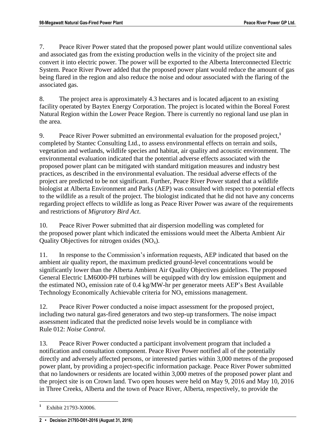7. Peace River Power stated that the proposed power plant would utilize conventional sales and associated gas from the existing production wells in the vicinity of the project site and convert it into electric power. The power will be exported to the Alberta Interconnected Electric System. Peace River Power added that the proposed power plant would reduce the amount of gas being flared in the region and also reduce the noise and odour associated with the flaring of the associated gas.

8. The project area is approximately 4.3 hectares and is located adjacent to an existing facility operated by Baytex Energy Corporation. The project is located within the Boreal Forest Natural Region within the Lower Peace Region. There is currently no regional land use plan in the area.

9. Peace River Power submitted an environmental evaluation for the proposed project, **1** completed by Stantec Consulting Ltd., to assess environmental effects on terrain and soils, vegetation and wetlands, wildlife species and habitat, air quality and acoustic environment. The environmental evaluation indicated that the potential adverse effects associated with the proposed power plant can be mitigated with standard mitigation measures and industry best practices, as described in the environmental evaluation. The residual adverse effects of the project are predicted to be not significant. Further, Peace River Power stated that a wildlife biologist at Alberta Environment and Parks (AEP) was consulted with respect to potential effects to the wildlife as a result of the project. The biologist indicated that he did not have any concerns regarding project effects to wildlife as long as Peace River Power was aware of the requirements and restrictions of *Migratory Bird Act*.

10. Peace River Power submitted that air dispersion modelling was completed for the proposed power plant which indicated the emissions would meet the Alberta Ambient Air Quality Objectives for nitrogen oxides  $(NO<sub>x</sub>)$ .

11. In response to the Commission's information requests, AEP indicated that based on the ambient air quality report, the maximum predicted ground-level concentrations would be significantly lower than the Alberta Ambient Air Quality Objectives guidelines. The proposed General Electric LM6000-PH turbines will be equipped with dry low emission equipment and the estimated  $NO_x$  emission rate of 0.4 kg/MW-hr per generator meets AEP's Best Available Technology Economically Achievable criteria for  $NO<sub>x</sub>$  emissions management.

12. Peace River Power conducted a noise impact assessment for the proposed project, including two natural gas-fired generators and two step-up transformers. The noise impact assessment indicated that the predicted noise levels would be in compliance with Rule 012: *Noise Control*.

13. Peace River Power conducted a participant involvement program that included a notification and consultation component. Peace River Power notified all of the potentially directly and adversely affected persons, or interested parties within 3,000 metres of the proposed power plant, by providing a project-specific information package. Peace River Power submitted that no landowners or residents are located within 3,000 metres of the proposed power plant and the project site is on Crown land. Two open houses were held on May 9, 2016 and May 10, 2016 in Three Creeks, Alberta and the town of Peace River, Alberta, respectively, to provide the

 $\mathbf{1}$ **<sup>1</sup>** Exhibit 21793-X0006.

**<sup>2</sup> • Decision 21793-D01-2016 (August 31, 2016)**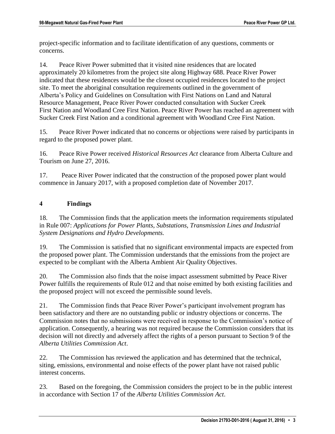project-specific information and to facilitate identification of any questions, comments or concerns.

14. Peace River Power submitted that it visited nine residences that are located approximately 20 kilometres from the project site along Highway 688. Peace River Power indicated that these residences would be the closest occupied residences located to the project site. To meet the aboriginal consultation requirements outlined in the government of Alberta's Policy and Guidelines on Consultation with First Nations on Land and Natural Resource Management, Peace River Power conducted consultation with Sucker Creek First Nation and Woodland Cree First Nation. Peace River Power has reached an agreement with Sucker Creek First Nation and a conditional agreement with Woodland Cree First Nation.

15. Peace River Power indicated that no concerns or objections were raised by participants in regard to the proposed power plant.

16. Peace Rive Power received *Historical Resources Act* clearance from Alberta Culture and Tourism on June 27, 2016.

17. Peace River Power indicated that the construction of the proposed power plant would commence in January 2017, with a proposed completion date of November 2017.

#### **4 Findings**

18. The Commission finds that the application meets the information requirements stipulated in Rule 007: *Applications for Power Plants, Substations, Transmission Lines and Industrial System Designations and Hydro Developments.*

19. The Commission is satisfied that no significant environmental impacts are expected from the proposed power plant. The Commission understands that the emissions from the project are expected to be compliant with the Alberta Ambient Air Quality Objectives.

20. The Commission also finds that the noise impact assessment submitted by Peace River Power fulfills the requirements of Rule 012 and that noise emitted by both existing facilities and the proposed project will not exceed the permissible sound levels.

21. The Commission finds that Peace River Power's participant involvement program has been satisfactory and there are no outstanding public or industry objections or concerns. The Commission notes that no submissions were received in response to the Commission's notice of application. Consequently, a hearing was not required because the Commission considers that its decision will not directly and adversely affect the rights of a person pursuant to Section 9 of the *Alberta Utilities Commission Act*.

22. The Commission has reviewed the application and has determined that the technical, siting, emissions, environmental and noise effects of the power plant have not raised public interest concerns.

23. Based on the foregoing, the Commission considers the project to be in the public interest in accordance with Section 17 of the *Alberta Utilities Commission Act*.